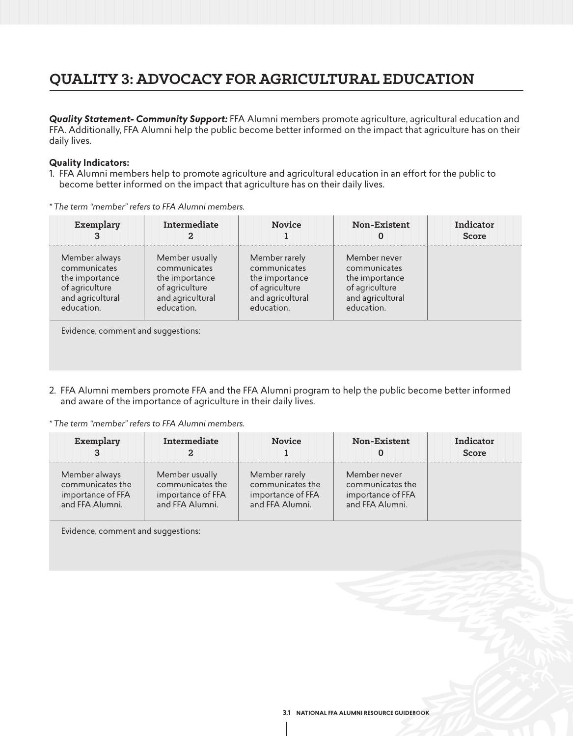# **QUALITY 3: ADVOCACY FOR AGRICULTURAL EDUCATION**

*Quality Statement- Community Support:* FFA Alumni members promote agriculture, agricultural education and FFA. Additionally, FFA Alumni help the public become better informed on the impact that agriculture has on their daily lives.

## **Quality Indicators:**

- 1. FFA Alumni members help to promote agriculture and agricultural education in an effort for the public to become better informed on the impact that agriculture has on their daily lives.
- *\* The term "member" refers to FFA Alumni members.*

|                                                                                                      | <b>Novice</b>                                                                                       | <b>Non-Existent</b>                                                                                | Indicator<br>Score |
|------------------------------------------------------------------------------------------------------|-----------------------------------------------------------------------------------------------------|----------------------------------------------------------------------------------------------------|--------------------|
| Member usually<br>communicates<br>the importance<br>of agriculture<br>and agricultural<br>education. | Member rarely<br>communicates<br>the importance<br>of agriculture<br>and agricultural<br>education. | Member never<br>communicates<br>the importance<br>of agriculture<br>and agricultural<br>education. |                    |
|                                                                                                      | Evidence comment and suggestions.                                                                   |                                                                                                    |                    |

 $\mathop{\mathsf{enc}}\nolimits$ , comment and suggestions:

2. FFA Alumni members promote FFA and the FFA Alumni program to help the public become better informed and aware of the importance of agriculture in their daily lives.

*\* The term "member" refers to FFA Alumni members.*

| Exemplary         | <b>Intermediate</b> | <b>Novice</b>     | Non-Existent      | Indicator<br>Score |
|-------------------|---------------------|-------------------|-------------------|--------------------|
| Member always     | Member usually      | Member rarely     | Member never      |                    |
| communicates the  | communicates the    | communicates the  | communicates the  |                    |
| importance of FFA | importance of FFA   | importance of FFA | importance of FFA |                    |
| and FFA Alumni.   | and FFA Alumni.     | and FFA Alumni.   | and FFA Alumni.   |                    |

Evidence, comment and suggestions: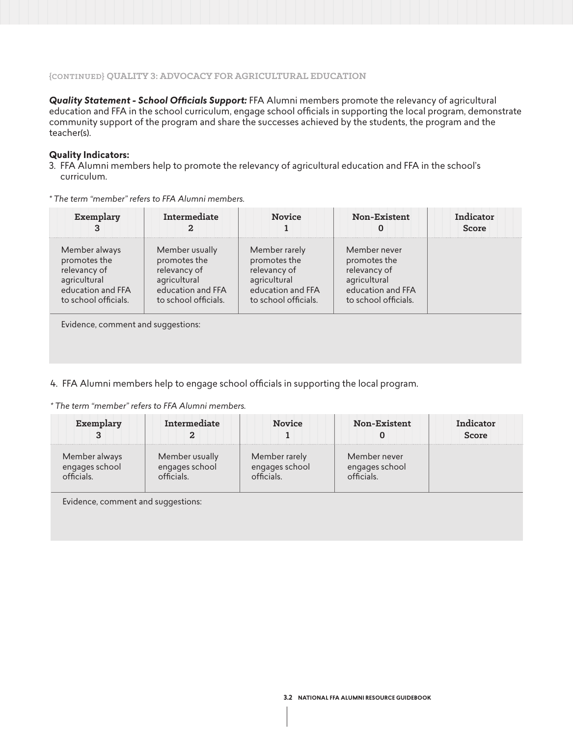# **{CONTINUED} QUALITY 3: ADVOCACY FOR AGRICULTURAL EDUCATION**

*Quality Statement - School Officials Support:* FFA Alumni members promote the relevancy of agricultural education and FFA in the school curriculum, engage school officials in supporting the local program, demonstrate community support of the program and share the successes achieved by the students, the program and the teacher(s).

#### **Quality Indicators:**

- 3. FFA Alumni members help to promote the relevancy of agricultural education and FFA in the school's curriculum.
- *\* The term "member" refers to FFA Alumni members.*

| Exemplary                                                                                                  | Intermediate                                                                                                | <b>Novice</b>                                                                                              | <b>Non-Existent</b>                                                                                       | Indicator<br><b>Score</b> |
|------------------------------------------------------------------------------------------------------------|-------------------------------------------------------------------------------------------------------------|------------------------------------------------------------------------------------------------------------|-----------------------------------------------------------------------------------------------------------|---------------------------|
| Member always<br>promotes the<br>relevancy of<br>agricultural<br>education and FFA<br>to school officials. | Member usually<br>promotes the<br>relevancy of<br>agricultural<br>education and FFA<br>to school officials. | Member rarely<br>promotes the<br>relevancy of<br>agricultural<br>education and FFA<br>to school officials. | Member never<br>promotes the<br>relevancy of<br>agricultural<br>education and FFA<br>to school officials. |                           |
| Evidence, comment and suggestions:                                                                         |                                                                                                             |                                                                                                            |                                                                                                           |                           |

# 4. FFA Alumni members help to engage school officials in supporting the local program.

*\* The term "member" refers to FFA Alumni members.*

| Exemplary      | <b>Intermediate</b> | <b>Novice</b>  | <b>Non-Existent</b> | indicator<br>Score |
|----------------|---------------------|----------------|---------------------|--------------------|
| Member always  | Member usually      | Member rarely  | Member never        |                    |
| engages school | engages school      | engages school | engages school      |                    |

Evidence, comment and suggestions: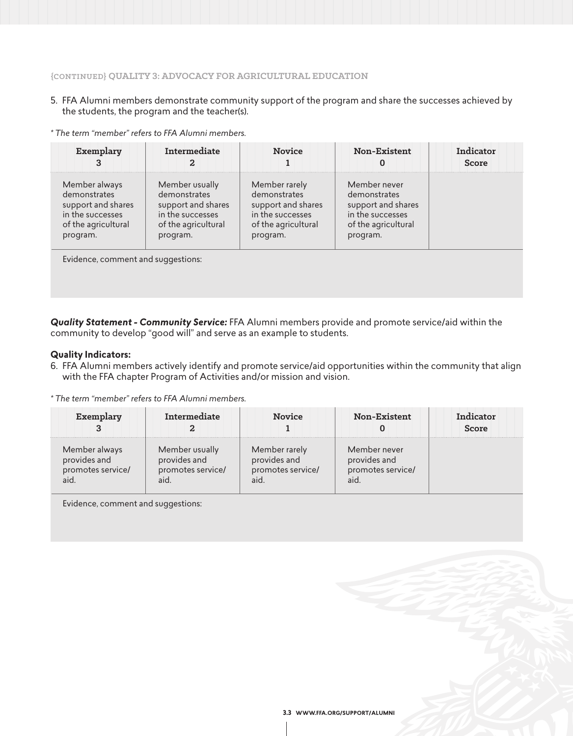# **{CONTINUED} QUALITY 3: ADVOCACY FOR AGRICULTURAL EDUCATION**

5. FFA Alumni members demonstrate community support of the program and share the successes achieved by the students, the program and the teacher(s).

*\* The term "member" refers to FFA Alumni members.*

| Member usually<br>Member rarely<br>Member always<br>Member never<br>demonstrates<br>demonstrates<br>demonstrates<br>demonstrates<br>support and shares<br>support and shares<br>support and shares<br>support and shares<br>in the successes<br>in the successes<br>in the successes<br>in the successes<br>of the agricultural<br>of the agricultural<br>of the agricultural<br>of the agricultural | Exemplary | Intermediate | <b>Novice</b> | Non-Existent<br>O | Indicator<br>Score |
|------------------------------------------------------------------------------------------------------------------------------------------------------------------------------------------------------------------------------------------------------------------------------------------------------------------------------------------------------------------------------------------------------|-----------|--------------|---------------|-------------------|--------------------|
|                                                                                                                                                                                                                                                                                                                                                                                                      | program.  | program.     | program.      | program.          |                    |

*Quality Statement - Community Service:* FFA Alumni members provide and promote service/aid within the community to develop "good will" and serve as an example to students.

#### **Quality Indicators:**

6. FFA Alumni members actively identify and promote service/aid opportunities within the community that align with the FFA chapter Program of Activities and/or mission and vision.

*\* The term "member" refers to FFA Alumni members.*

| Exemplary                                          | Intermediate                                        | <b>Novice</b>                                             | <b>Non-Existent</b>                                       | Indicator<br><b>Score</b> |
|----------------------------------------------------|-----------------------------------------------------|-----------------------------------------------------------|-----------------------------------------------------------|---------------------------|
| Member always<br>provides and<br>promotes service/ | Member usually<br>provides and<br>promotes service/ | Member rarely<br>provides and<br>promotes service/<br>aid | Member never<br>provides and<br>promotes service/<br>aid. |                           |

Evidence, comment and suggestions: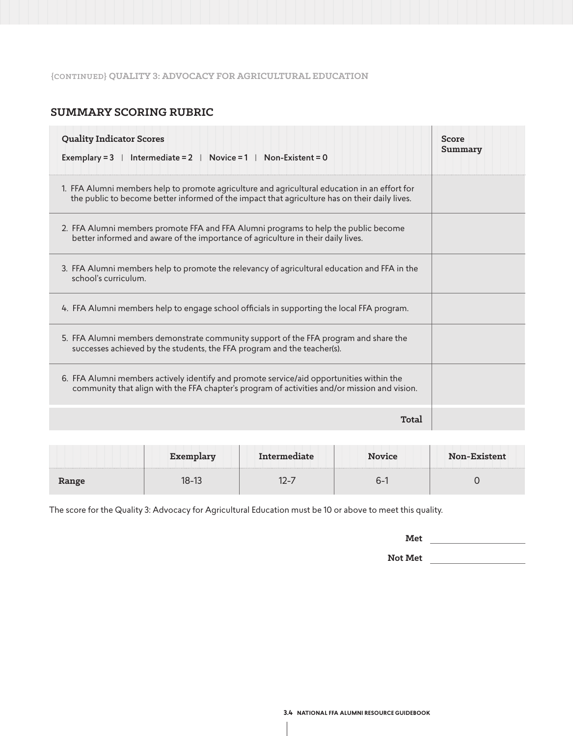#### **{CONTINUED} QUALITY 3: ADVOCACY FOR AGRICULTURAL EDUCATION**

# **SUMMARY SCORING RUBRIC**

| <b>Quality Indicator Scores</b><br>Intermediate = $2 \mid \text{Novice} = 1 \mid \text{Non-Existent} = 0$<br>Exemplary $=$ 3                                                                   | Score<br>Summary |
|------------------------------------------------------------------------------------------------------------------------------------------------------------------------------------------------|------------------|
| 1. FFA Alumni members help to promote agriculture and agricultural education in an effort for<br>the public to become better informed of the impact that agriculture has on their daily lives. |                  |
| 2. FFA Alumni members promote FFA and FFA Alumni programs to help the public become<br>better informed and aware of the importance of agriculture in their daily lives.                        |                  |
| 3. FFA Alumni members help to promote the relevancy of agricultural education and FFA in the<br>school's curriculum.                                                                           |                  |
| 4. FFA Alumni members help to engage school officials in supporting the local FFA program.                                                                                                     |                  |
| 5. FFA Alumni members demonstrate community support of the FFA program and share the<br>successes achieved by the students, the FFA program and the teacher(s).                                |                  |
| 6. FFA Alumni members actively identify and promote service/aid opportunities within the<br>community that align with the FFA chapter's program of activities and/or mission and vision.       |                  |
| Total                                                                                                                                                                                          |                  |

|       | Exemplary | Intermediate | <b>Novice</b> | <b>Non-Existent</b> |
|-------|-----------|--------------|---------------|---------------------|
| Range | I8-13     |              | ่า−           |                     |

The score for the Quality 3: Advocacy for Agricultural Education must be 10 or above to meet this quality.

**Met**

**Not Met**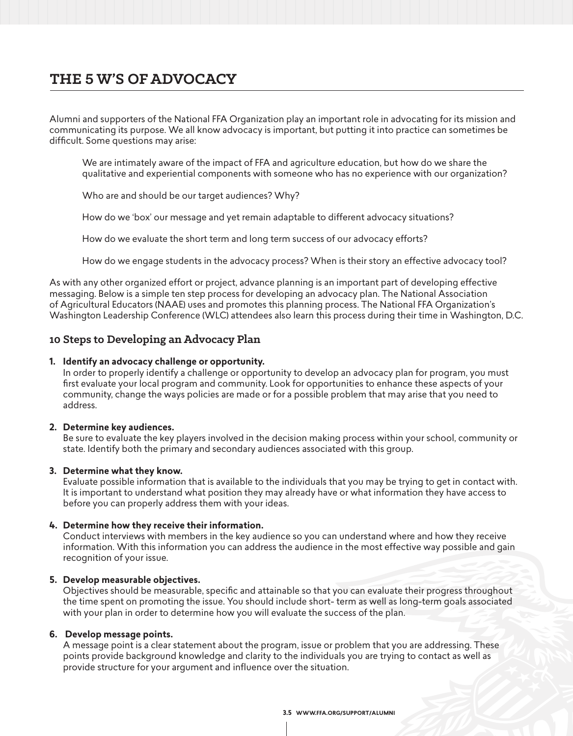# **THE 5 W'S OF ADVOCACY**

Alumni and supporters of the National FFA Organization play an important role in advocating for its mission and communicating its purpose. We all know advocacy is important, but putting it into practice can sometimes be difficult. Some questions may arise:

 We are intimately aware of the impact of FFA and agriculture education, but how do we share the qualitative and experiential components with someone who has no experience with our organization?

Who are and should be our target audiences? Why?

How do we 'box' our message and yet remain adaptable to different advocacy situations?

How do we evaluate the short term and long term success of our advocacy efforts?

How do we engage students in the advocacy process? When is their story an effective advocacy tool?

As with any other organized effort or project, advance planning is an important part of developing effective messaging. Below is a simple ten step process for developing an advocacy plan. The National Association of Agricultural Educators (NAAE) uses and promotes this planning process. The National FFA Organization's Washington Leadership Conference (WLC) attendees also learn this process during their time in Washington, D.C.

# **10 Steps to Developing an Advocacy Plan**

#### **1. Identify an advocacy challenge or opportunity.**

 In order to properly identify a challenge or opportunity to develop an advocacy plan for program, you must first evaluate your local program and community. Look for opportunities to enhance these aspects of your community, change the ways policies are made or for a possible problem that may arise that you need to address.

## **2. Determine key audiences.**

 Be sure to evaluate the key players involved in the decision making process within your school, community or state. Identify both the primary and secondary audiences associated with this group.

#### **3. Determine what they know.**

 Evaluate possible information that is available to the individuals that you may be trying to get in contact with. It is important to understand what position they may already have or what information they have access to before you can properly address them with your ideas.

## **4. Determine how they receive their information.**

 Conduct interviews with members in the key audience so you can understand where and how they receive information. With this information you can address the audience in the most effective way possible and gain recognition of your issue.

#### **5. Develop measurable objectives.**

 Objectives should be measurable, specific and attainable so that you can evaluate their progress throughout the time spent on promoting the issue. You should include short- term as well as long-term goals associated with your plan in order to determine how you will evaluate the success of the plan.

## **6. Develop message points.**

 A message point is a clear statement about the program, issue or problem that you are addressing. These points provide background knowledge and clarity to the individuals you are trying to contact as well as provide structure for your argument and influence over the situation.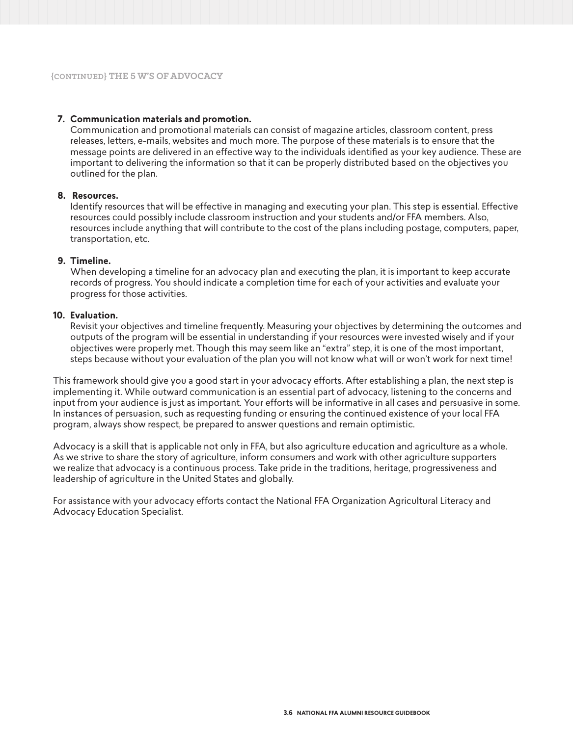### **7. Communication materials and promotion.**

 Communication and promotional materials can consist of magazine articles, classroom content, press releases, letters, e-mails, websites and much more. The purpose of these materials is to ensure that the message points are delivered in an effective way to the individuals identified as your key audience. These are important to delivering the information so that it can be properly distributed based on the objectives you outlined for the plan.

#### **8. Resources.**

 Identify resources that will be effective in managing and executing your plan. This step is essential. Effective resources could possibly include classroom instruction and your students and/or FFA members. Also, resources include anything that will contribute to the cost of the plans including postage, computers, paper, transportation, etc.

#### **9. Timeline.**

 When developing a timeline for an advocacy plan and executing the plan, it is important to keep accurate records of progress. You should indicate a completion time for each of your activities and evaluate your progress for those activities.

#### **10. Evaluation.**

 Revisit your objectives and timeline frequently. Measuring your objectives by determining the outcomes and outputs of the program will be essential in understanding if your resources were invested wisely and if your objectives were properly met. Though this may seem like an "extra" step, it is one of the most important, steps because without your evaluation of the plan you will not know what will or won't work for next time!

This framework should give you a good start in your advocacy efforts. After establishing a plan, the next step is implementing it. While outward communication is an essential part of advocacy, listening to the concerns and input from your audience is just as important. Your efforts will be informative in all cases and persuasive in some. In instances of persuasion, such as requesting funding or ensuring the continued existence of your local FFA program, always show respect, be prepared to answer questions and remain optimistic.

Advocacy is a skill that is applicable not only in FFA, but also agriculture education and agriculture as a whole. As we strive to share the story of agriculture, inform consumers and work with other agriculture supporters we realize that advocacy is a continuous process. Take pride in the traditions, heritage, progressiveness and leadership of agriculture in the United States and globally.

For assistance with your advocacy efforts contact the National FFA Organization Agricultural Literacy and Advocacy Education Specialist.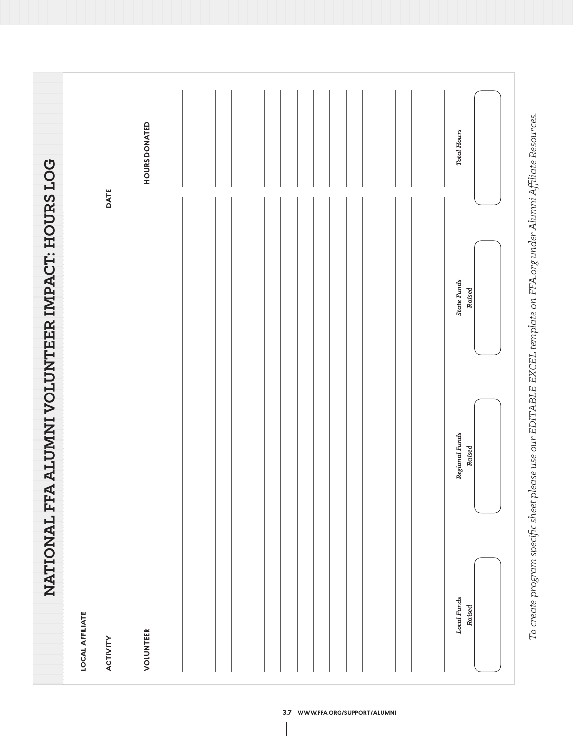|                                    | DATE                                      | HOURS DONATED |  |  | <b>Total Hours</b>           |
|------------------------------------|-------------------------------------------|---------------|--|--|------------------------------|
| ALUMNI VOLUNTEER IMPACT: HOURS LOG |                                           |               |  |  | <b>State Funds</b><br>Raised |
|                                    |                                           |               |  |  | Regional Funds<br>Raised     |
| NATIONAL FFA                       | <b>LOCAL AFFILIATE</b><br><b>ACTIVITY</b> | VOLUNTEER     |  |  | Local Funds<br>Raised        |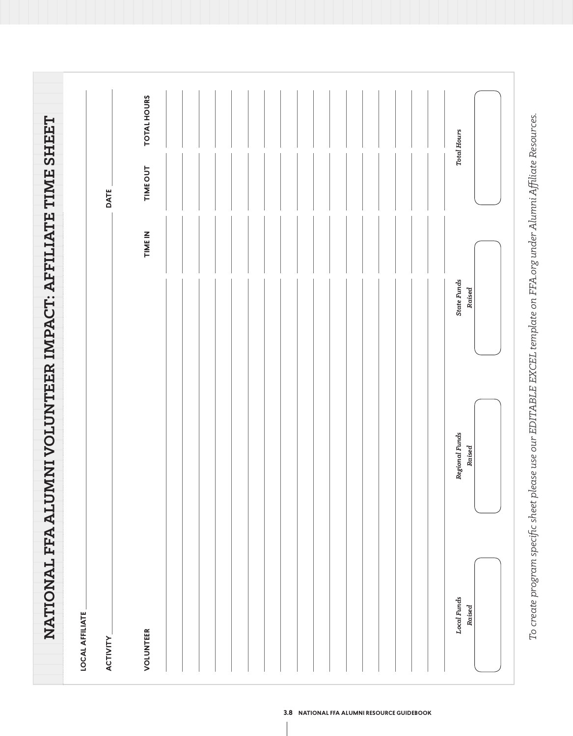|                                                            | DATE                                      | <b>TOTAL HOURS</b><br>TIME OUT |  |  | <b>Total Hours</b>           |
|------------------------------------------------------------|-------------------------------------------|--------------------------------|--|--|------------------------------|
| NATIONAL FFA ALUMNI VOLUNTEER IMPACT: AFFILIATE TIME SHEET |                                           | <b>TIMEIN</b>                  |  |  | <b>State Funds</b><br>Raised |
|                                                            |                                           |                                |  |  | Regional Funds<br>Raised     |
|                                                            | <b>LOCAL AFFILIATE</b><br><b>ACTIVITY</b> | VOLUNTEER                      |  |  | Local Funds<br>Raised        |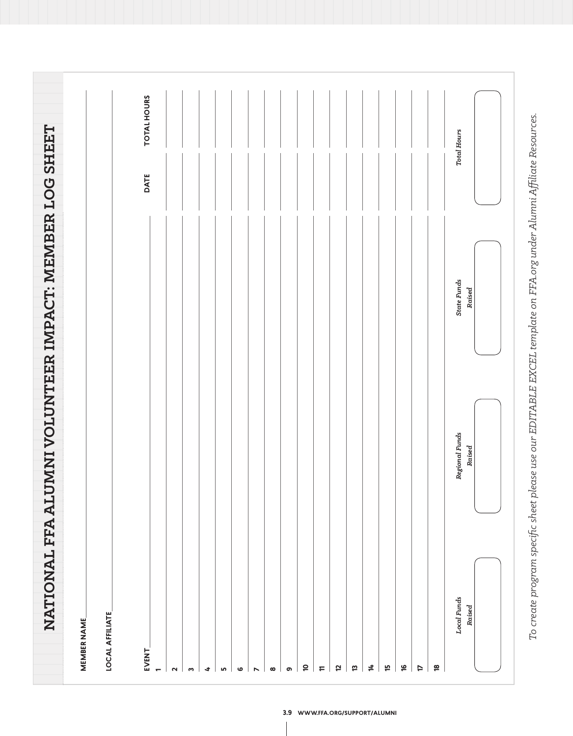|                          | NATIONAL FFA ALUMNI VOLUNTEER IMPACT: MEMBER LOG SHEET |                              |      |                    |
|--------------------------|--------------------------------------------------------|------------------------------|------|--------------------|
| <b>MEMBER NAME</b>       |                                                        |                              |      |                    |
| <b>LOCAL AFFILIATE</b>   |                                                        |                              |      |                    |
|                          |                                                        |                              |      |                    |
| EVENT.<br>$\blacksquare$ |                                                        |                              | DATE | <b>TOTAL HOURS</b> |
| $\sim$                   |                                                        |                              |      |                    |
| $\mathbf{c}$             |                                                        |                              |      |                    |
| $\ddot{\phantom{a}}$     |                                                        |                              |      |                    |
| $\mathsf{L}\Omega$       |                                                        |                              |      |                    |
| $\bullet$                |                                                        |                              |      |                    |
| $\triangleright$         |                                                        |                              |      |                    |
| $\infty$                 |                                                        |                              |      |                    |
| ഐ                        |                                                        |                              |      |                    |
| $\overline{a}$           |                                                        |                              |      |                    |
| $\overline{r}$           |                                                        |                              |      |                    |
| 5                        |                                                        |                              |      |                    |
| 13                       |                                                        |                              |      |                    |
| $\sharp$                 |                                                        |                              |      |                    |
| f5                       |                                                        |                              |      |                    |
| $\frac{1}{2}$            |                                                        |                              |      |                    |
| <b>ZL</b>                |                                                        |                              |      |                    |
| $\overline{\mathbf{e}}$  |                                                        |                              |      |                    |
| Local Funds              | Regional Funds<br>Raised                               | <b>State Funds</b><br>Raised |      | <b>Total Hours</b> |
| Raised                   |                                                        |                              |      |                    |
|                          |                                                        |                              |      |                    |

To create program specific sheet please use our EDITABLE EXCEL template on FFA.org under Alumni Affiliate Resources. *To create program specific sheet please use our EDITABLE EXCEL template on FFA.org under Alumni Affiliate Resources.*